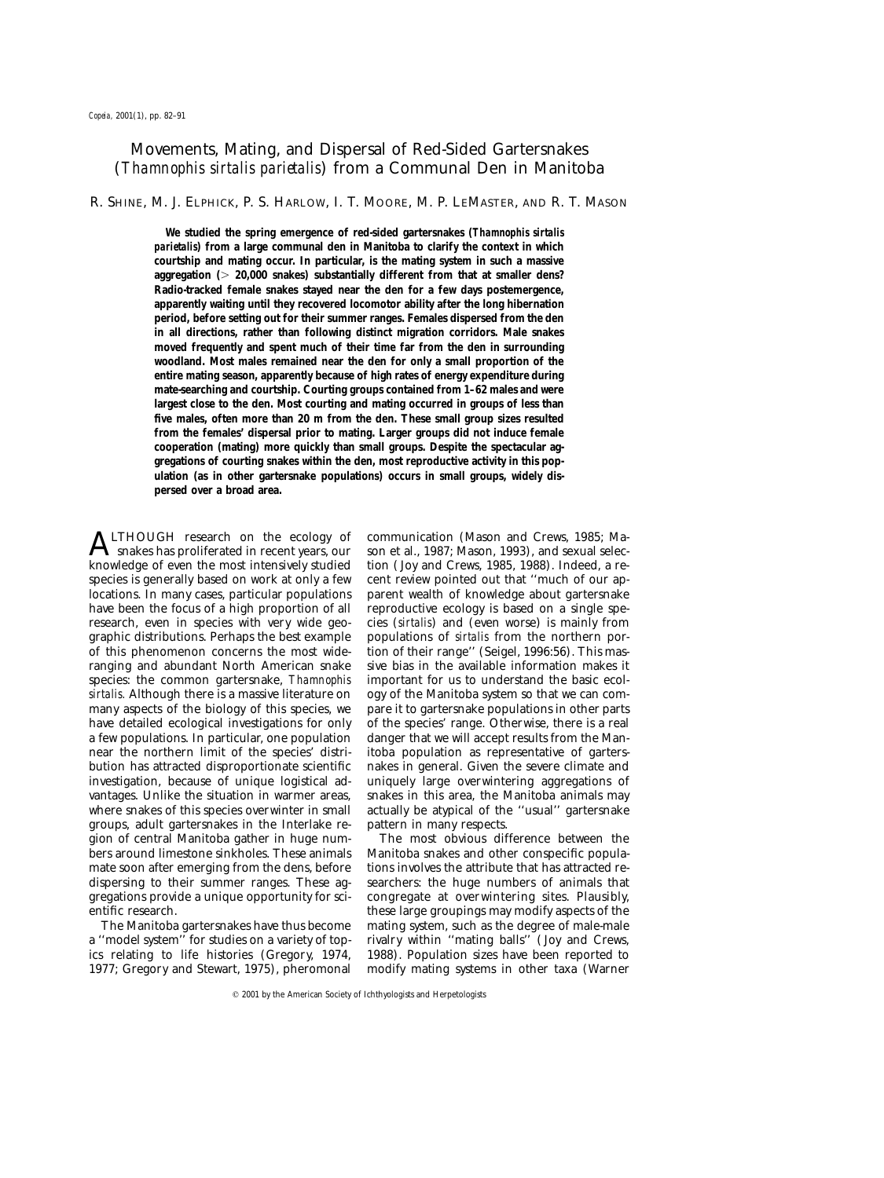# Movements, Mating, and Dispersal of Red-Sided Gartersnakes (*Thamnophis sirtalis parietalis*) from a Communal Den in Manitoba

R. SHINE, M. J. ELPHICK, P. S. HARLOW, I. T. MOORE, M. P. LEMASTER, AND R. T. MASON

**We studied the spring emergence of red-sided gartersnakes (***Thamnophis sirtalis parietalis***) from a large communal den in Manitoba to clarify the context in which courtship and mating occur. In particular, is the mating system in such a massive aggregation ( 20,000 snakes) substantially different from that at smaller dens? Radio-tracked female snakes stayed near the den for a few days postemergence, apparently waiting until they recovered locomotor ability after the long hibernation period, before setting out for their summer ranges. Females dispersed from the den in all directions, rather than following distinct migration corridors. Male snakes moved frequently and spent much of their time far from the den in surrounding woodland. Most males remained near the den for only a small proportion of the entire mating season, apparently because of high rates of energy expenditure during mate-searching and courtship. Courting groups contained from 1–62 males and were largest close to the den. Most courting and mating occurred in groups of less than five males, often more than 20 m from the den. These small group sizes resulted from the females' dispersal prior to mating. Larger groups did not induce female cooperation (mating) more quickly than small groups. Despite the spectacular aggregations of courting snakes within the den, most reproductive activity in this population (as in other gartersnake populations) occurs in small groups, widely dispersed over a broad area.**

ALTHOUGH research on the ecology of<br>snakes has proliferated in recent years, our<br>knowledge of over the meet intensively studied knowledge of even the most intensively studied species is generally based on work at only a few locations. In many cases, particular populations have been the focus of a high proportion of all research, even in species with very wide geographic distributions. Perhaps the best example of this phenomenon concerns the most wideranging and abundant North American snake species: the common gartersnake, *Thamnophis sirtalis.* Although there is a massive literature on many aspects of the biology of this species, we have detailed ecological investigations for only a few populations. In particular, one population near the northern limit of the species' distribution has attracted disproportionate scientific investigation, because of unique logistical advantages. Unlike the situation in warmer areas, where snakes of this species overwinter in small groups, adult gartersnakes in the Interlake region of central Manitoba gather in huge numbers around limestone sinkholes. These animals mate soon after emerging from the dens, before dispersing to their summer ranges. These aggregations provide a unique opportunity for scientific research.

The Manitoba gartersnakes have thus become a ''model system'' for studies on a variety of topics relating to life histories (Gregory, 1974, 1977; Gregory and Stewart, 1975), pheromonal

communication (Mason and Crews, 1985; Mason et al., 1987; Mason, 1993), and sexual selection ( Joy and Crews, 1985, 1988). Indeed, a recent review pointed out that ''much of our apparent wealth of knowledge about gartersnake reproductive ecology is based on a single species (*sirtalis*) and (even worse) is mainly from populations of *sirtalis* from the northern portion of their range'' (Seigel, 1996:56). This massive bias in the available information makes it important for us to understand the basic ecology of the Manitoba system so that we can compare it to gartersnake populations in other parts of the species' range. Otherwise, there is a real danger that we will accept results from the Manitoba population as representative of gartersnakes in general. Given the severe climate and uniquely large overwintering aggregations of snakes in this area, the Manitoba animals may actually be atypical of the ''usual'' gartersnake pattern in many respects.

The most obvious difference between the Manitoba snakes and other conspecific populations involves the attribute that has attracted researchers: the huge numbers of animals that congregate at overwintering sites. Plausibly, these large groupings may modify aspects of the mating system, such as the degree of male-male rivalry within ''mating balls'' ( Joy and Crews, 1988). Population sizes have been reported to modify mating systems in other taxa (Warner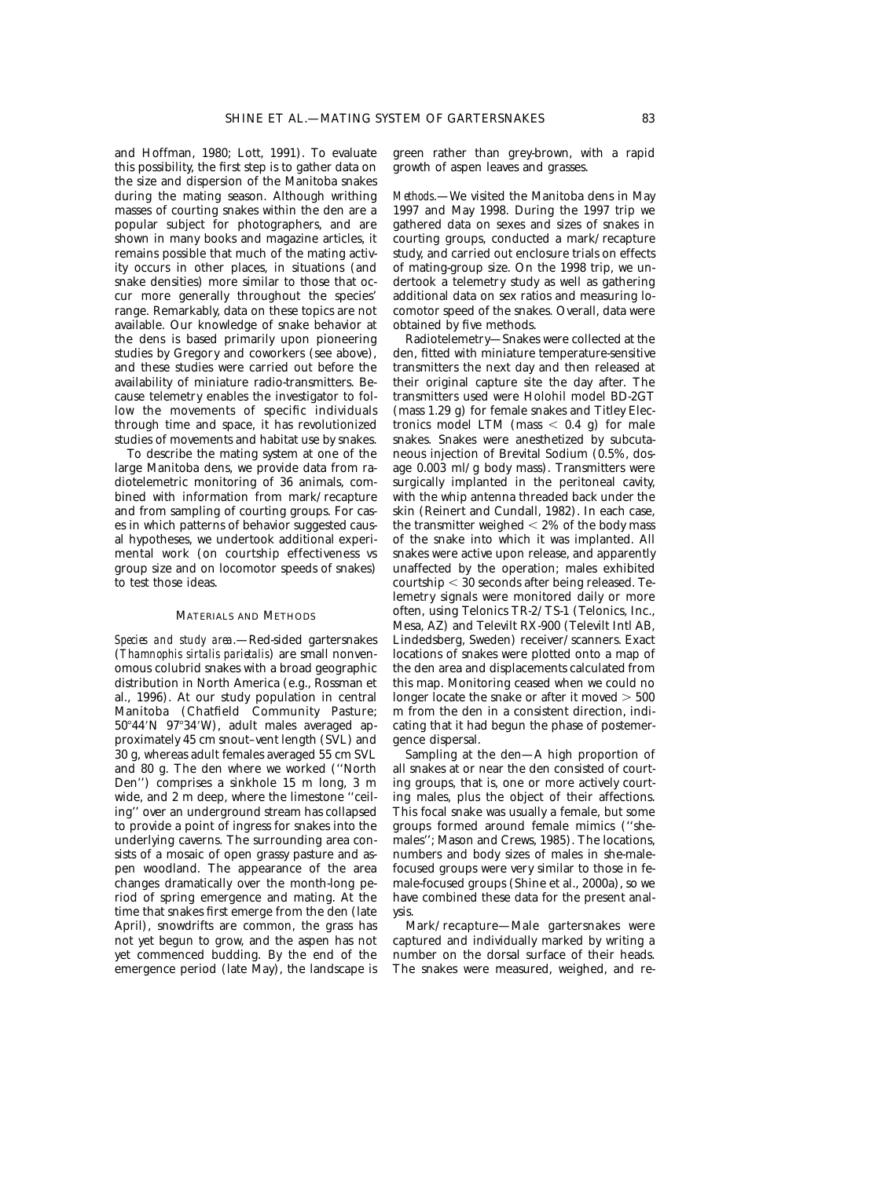and Hoffman, 1980; Lott, 1991). To evaluate this possibility, the first step is to gather data on the size and dispersion of the Manitoba snakes during the mating season. Although writhing masses of courting snakes within the den are a popular subject for photographers, and are shown in many books and magazine articles, it remains possible that much of the mating activity occurs in other places, in situations (and snake densities) more similar to those that occur more generally throughout the species' range. Remarkably, data on these topics are not available. Our knowledge of snake behavior at the dens is based primarily upon pioneering studies by Gregory and coworkers (see above), and these studies were carried out before the availability of miniature radio-transmitters. Because telemetry enables the investigator to follow the movements of specific individuals through time and space, it has revolutionized studies of movements and habitat use by snakes.

To describe the mating system at one of the large Manitoba dens, we provide data from radiotelemetric monitoring of 36 animals, combined with information from mark/recapture and from sampling of courting groups. For cases in which patterns of behavior suggested causal hypotheses, we undertook additional experimental work (on courtship effectiveness vs group size and on locomotor speeds of snakes) to test those ideas.

## MATERIALS AND METHODS

*Species and study area*.—Red-sided gartersnakes (*Thamnophis sirtalis parietalis*) are small nonvenomous colubrid snakes with a broad geographic distribution in North America (e.g., Rossman et al., 1996). At our study population in central Manitoba (Chatfield Community Pasture; 50-44N 97-34W), adult males averaged approximately 45 cm snout–vent length (SVL) and 30 g, whereas adult females averaged 55 cm SVL and 80 g. The den where we worked (''North Den'') comprises a sinkhole 15 m long, 3 m wide, and 2 m deep, where the limestone ''ceiling'' over an underground stream has collapsed to provide a point of ingress for snakes into the underlying caverns. The surrounding area consists of a mosaic of open grassy pasture and aspen woodland. The appearance of the area changes dramatically over the month-long period of spring emergence and mating. At the time that snakes first emerge from the den (late April), snowdrifts are common, the grass has not yet begun to grow, and the aspen has not yet commenced budding. By the end of the emergence period (late May), the landscape is green rather than grey-brown, with a rapid growth of aspen leaves and grasses.

*Methods*.—We visited the Manitoba dens in May 1997 and May 1998. During the 1997 trip we gathered data on sexes and sizes of snakes in courting groups, conducted a mark/recapture study, and carried out enclosure trials on effects of mating-group size. On the 1998 trip, we undertook a telemetry study as well as gathering additional data on sex ratios and measuring locomotor speed of the snakes. Overall, data were obtained by five methods.

Radiotelemetry—Snakes were collected at the den, fitted with miniature temperature-sensitive transmitters the next day and then released at their original capture site the day after. The transmitters used were Holohil model BD-2GT (mass 1.29 g) for female snakes and Titley Electronics model LTM (mass  $<$  0.4 g) for male snakes. Snakes were anesthetized by subcutaneous injection of Brevital Sodium (0.5%, dosage  $0.003 \text{ ml/g}$  body mass). Transmitters were surgically implanted in the peritoneal cavity, with the whip antenna threaded back under the skin (Reinert and Cundall, 1982). In each case, the transmitter weighed  $<$  2% of the body mass of the snake into which it was implanted. All snakes were active upon release, and apparently unaffected by the operation; males exhibited  $\text{courtship} < 30$  seconds after being released. Telemetry signals were monitored daily or more often, using Telonics TR-2/TS-1 (Telonics, Inc., Mesa, AZ) and Televilt RX-900 (Televilt Intl AB, Lindedsberg, Sweden) receiver/scanners. Exact locations of snakes were plotted onto a map of the den area and displacements calculated from this map. Monitoring ceased when we could no longer locate the snake or after it moved  $> 500$ m from the den in a consistent direction, indicating that it had begun the phase of postemergence dispersal.

Sampling at the den—A high proportion of all snakes at or near the den consisted of courting groups, that is, one or more actively courting males, plus the object of their affections. This focal snake was usually a female, but some groups formed around female mimics (''shemales''; Mason and Crews, 1985). The locations, numbers and body sizes of males in she-malefocused groups were very similar to those in female-focused groups (Shine et al., 2000a), so we have combined these data for the present analysis.

Mark/recapture—Male gartersnakes were captured and individually marked by writing a number on the dorsal surface of their heads. The snakes were measured, weighed, and re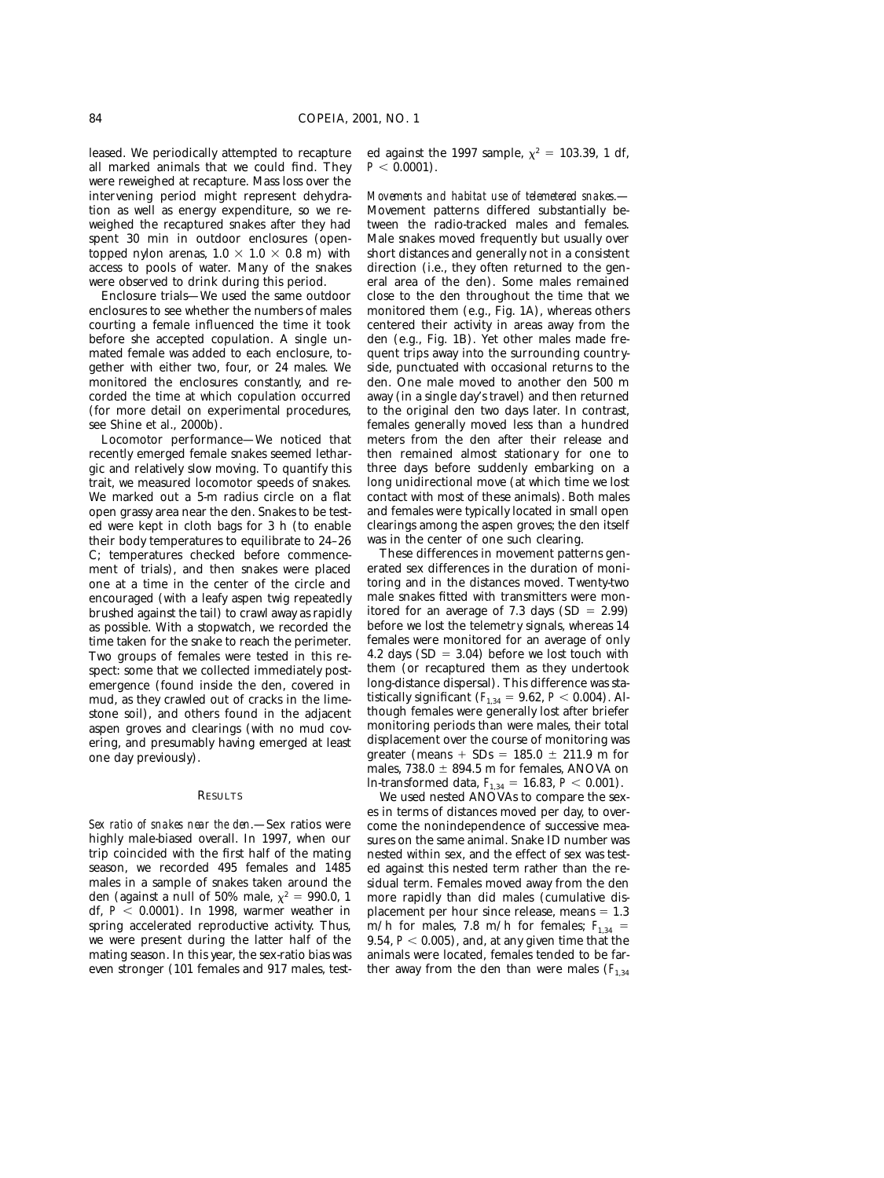leased. We periodically attempted to recapture all marked animals that we could find. They were reweighed at recapture. Mass loss over the intervening period might represent dehydration as well as energy expenditure, so we reweighed the recaptured snakes after they had spent 30 min in outdoor enclosures (opentopped nylon arenas,  $1.0 \times 1.0 \times 0.8$  m) with access to pools of water. Many of the snakes were observed to drink during this period.

Enclosure trials—We used the same outdoor enclosures to see whether the numbers of males courting a female influenced the time it took before she accepted copulation. A single unmated female was added to each enclosure, together with either two, four, or 24 males. We monitored the enclosures constantly, and recorded the time at which copulation occurred (for more detail on experimental procedures, see Shine et al., 2000b).

Locomotor performance—We noticed that recently emerged female snakes seemed lethargic and relatively slow moving. To quantify this trait, we measured locomotor speeds of snakes. We marked out a 5-m radius circle on a flat open grassy area near the den. Snakes to be tested were kept in cloth bags for 3 h (to enable their body temperatures to equilibrate to 24–26 C; temperatures checked before commencement of trials), and then snakes were placed one at a time in the center of the circle and encouraged (with a leafy aspen twig repeatedly brushed against the tail) to crawl away as rapidly as possible. With a stopwatch, we recorded the time taken for the snake to reach the perimeter. Two groups of females were tested in this respect: some that we collected immediately postemergence (found inside the den, covered in mud, as they crawled out of cracks in the limestone soil), and others found in the adjacent aspen groves and clearings (with no mud covering, and presumably having emerged at least one day previously).

#### **RESULTS**

*Sex ratio of snakes near the den*.—Sex ratios were highly male-biased overall. In 1997, when our trip coincided with the first half of the mating season, we recorded 495 females and 1485 males in a sample of snakes taken around the den (against a null of 50% male,  $\chi^2 = 990.0, 1$ df,  $P < 0.0001$ ). In 1998, warmer weather in spring accelerated reproductive activity. Thus, we were present during the latter half of the mating season. In this year, the sex-ratio bias was even stronger (101 females and 917 males, tested against the 1997 sample,  $\chi^2 = 103.39$ , 1 df,  $P < 0.0001$ ).

*Movements and habitat use of telemetered snakes*.— Movement patterns differed substantially between the radio-tracked males and females. Male snakes moved frequently but usually over short distances and generally not in a consistent direction (i.e., they often returned to the general area of the den). Some males remained close to the den throughout the time that we monitored them (e.g., Fig. 1A), whereas others centered their activity in areas away from the den (e.g., Fig. 1B). Yet other males made frequent trips away into the surrounding countryside, punctuated with occasional returns to the den. One male moved to another den 500 m away (in a single day's travel) and then returned to the original den two days later. In contrast, females generally moved less than a hundred meters from the den after their release and then remained almost stationary for one to three days before suddenly embarking on a long unidirectional move (at which time we lost contact with most of these animals). Both males and females were typically located in small open clearings among the aspen groves; the den itself was in the center of one such clearing.

These differences in movement patterns generated sex differences in the duration of monitoring and in the distances moved. Twenty-two male snakes fitted with transmitters were monitored for an average of 7.3 days  $(SD = 2.99)$ before we lost the telemetry signals, whereas 14 females were monitored for an average of only 4.2 days  $(SD = 3.04)$  before we lost touch with them (or recaptured them as they undertook long-distance dispersal). This difference was statistically significant  $(F_{1,34} = 9.62, P < 0.004)$ . Although females were generally lost after briefer monitoring periods than were males, their total displacement over the course of monitoring was greater (means  $+$  SDs  $=$  185.0  $\pm$  211.9 m for males,  $738.0 \pm 894.5$  m for females, ANOVA on ln-transformed data,  $F_{1,34} = 16.83$ ,  $P < 0.001$ ).

We used nested ANOVAs to compare the sexes in terms of distances moved per day, to overcome the nonindependence of successive measures on the same animal. Snake ID number was nested within sex, and the effect of sex was tested against this nested term rather than the residual term. Females moved away from the den more rapidly than did males (cumulative displacement per hour since release, means  $= 1.3$ m/h for males, 7.8 m/h for females;  $F_{1,34}$  = 9.54,  $P < 0.005$ ), and, at any given time that the animals were located, females tended to be farther away from the den than were males  $(F_{1,34})$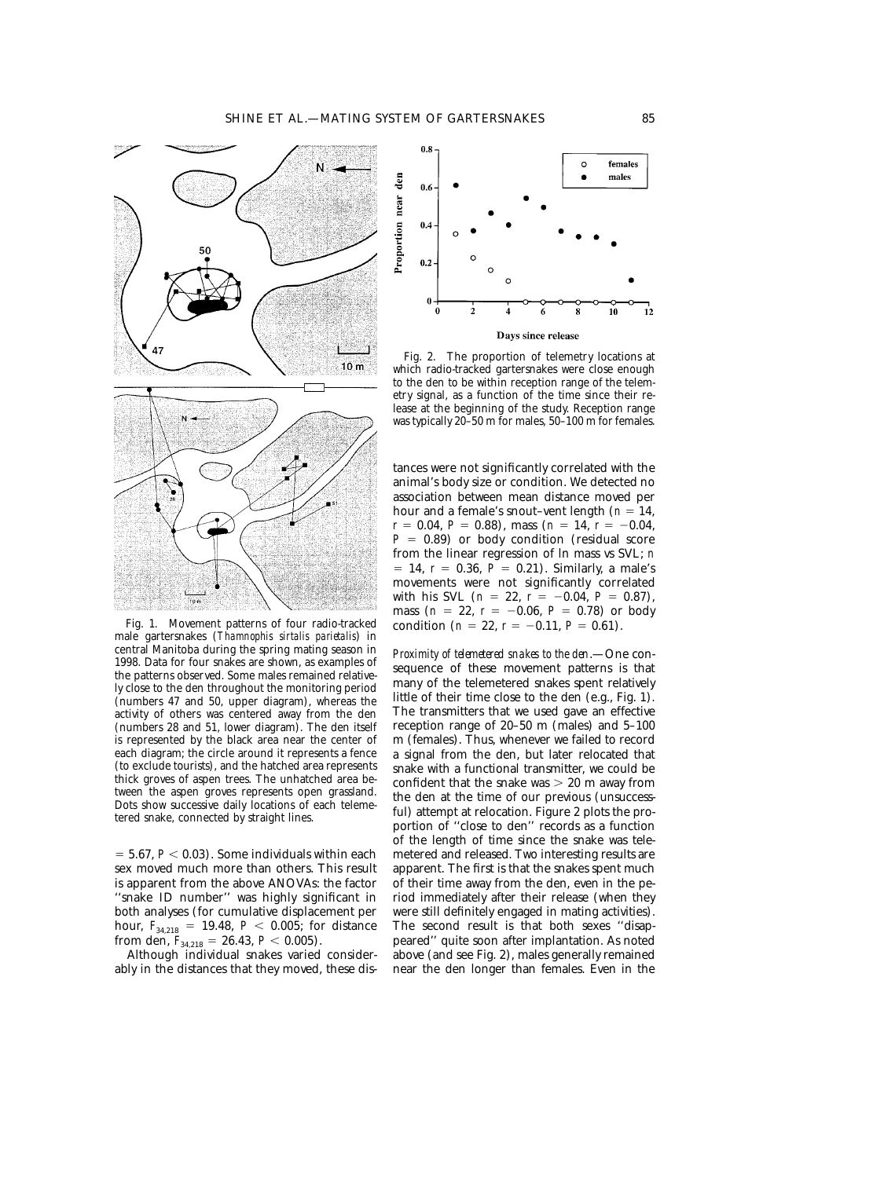

Fig. 1. Movement patterns of four radio-tracked male gartersnakes (*Thamnophis sirtalis parietalis*) in central Manitoba during the spring mating season in 1998. Data for four snakes are shown, as examples of the patterns observed. Some males remained relatively close to the den throughout the monitoring period (numbers 47 and 50, upper diagram), whereas the activity of others was centered away from the den (numbers 28 and 51, lower diagram). The den itself is represented by the black area near the center of each diagram; the circle around it represents a fence (to exclude tourists), and the hatched area represents thick groves of aspen trees. The unhatched area between the aspen groves represents open grassland. Dots show successive daily locations of each telemetered snake, connected by straight lines.

 $= 5.67$ ,  $P < 0.03$ ). Some individuals within each sex moved much more than others. This result is apparent from the above ANOVAs: the factor ''snake ID number'' was highly significant in both analyses (for cumulative displacement per hour,  $F_{34,218} = 19.48$ ,  $P < 0.005$ ; for distance from den,  $F_{34,218} = 26.43$ ,  $P < 0.005$ ).

Although individual snakes varied considerably in the distances that they moved, these dis-



Fig. 2. The proportion of telemetry locations at which radio-tracked gartersnakes were close enough to the den to be within reception range of the telemetry signal, as a function of the time since their release at the beginning of the study. Reception range was typically 20–50 m for males, 50–100 m for females.

tances were not significantly correlated with the animal's body size or condition. We detected no association between mean distance moved per hour and a female's snout–vent length  $(n = 14)$ ,  $r = 0.04, P = 0.88$ , mass ( $n = 14, r = -0.04$ ,  $P = 0.89$ ) or body condition (residual score from the linear regression of ln mass vs SVL; *n*  $= 14$ ,  $r = 0.36$ ,  $P = 0.21$ ). Similarly, a male's movements were not significantly correlated with his SVL  $(n = 22, r = -0.04, P = 0.87)$ , mass  $(n = 22, r = -0.06, P = 0.78)$  or body condition ( $n = 22$ ,  $r = -0.11$ ,  $P = 0.61$ ).

*Proximity of telemetered snakes to the den*.—One consequence of these movement patterns is that many of the telemetered snakes spent relatively little of their time close to the den (e.g., Fig. 1). The transmitters that we used gave an effective reception range of 20–50 m (males) and 5–100 m (females). Thus, whenever we failed to record a signal from the den, but later relocated that snake with a functional transmitter, we could be confident that the snake was  $> 20$  m away from the den at the time of our previous (unsuccessful) attempt at relocation. Figure 2 plots the proportion of ''close to den'' records as a function of the length of time since the snake was telemetered and released. Two interesting results are apparent. The first is that the snakes spent much of their time away from the den, even in the period immediately after their release (when they were still definitely engaged in mating activities). The second result is that both sexes ''disappeared'' quite soon after implantation. As noted above (and see Fig. 2), males generally remained near the den longer than females. Even in the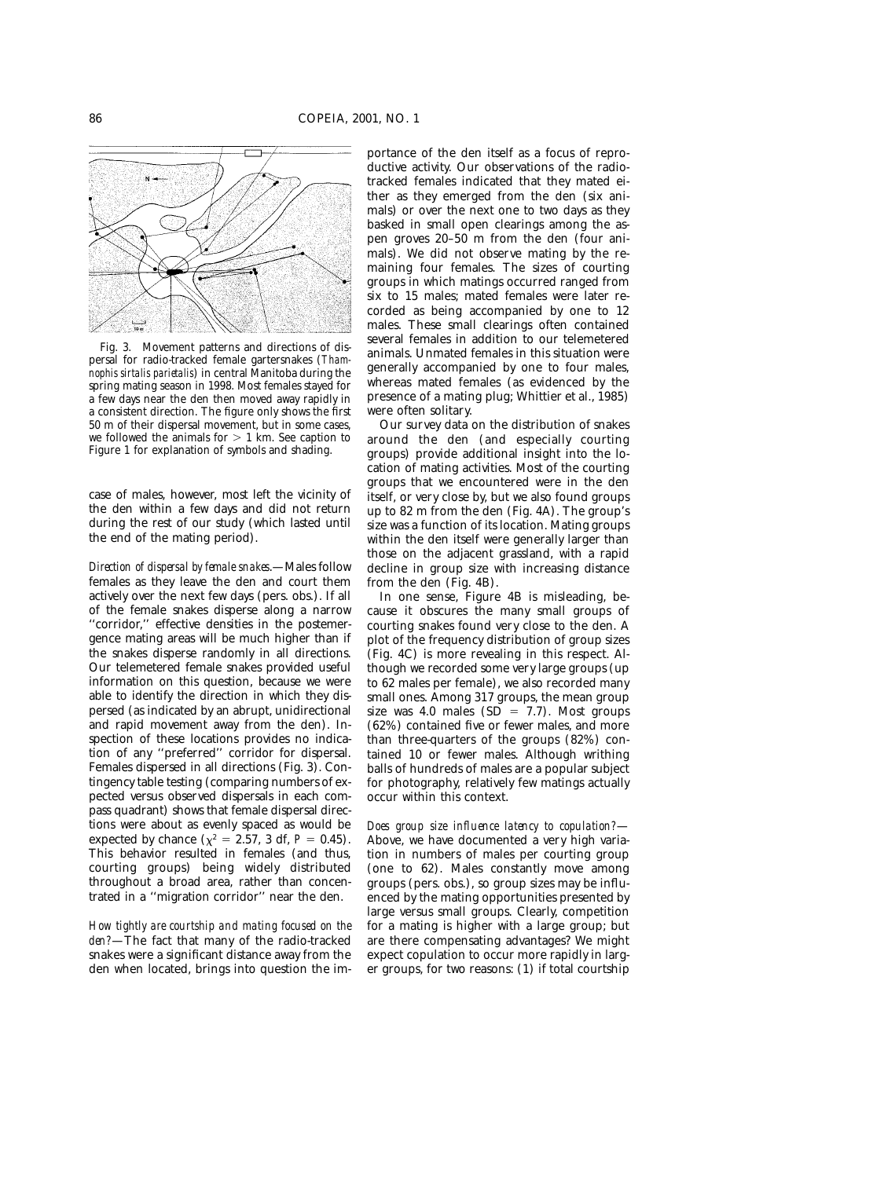

Fig. 3. Movement patterns and directions of dispersal for radio-tracked female gartersnakes (*Thamnophis sirtalis parietalis*) in central Manitoba during the spring mating season in 1998. Most females stayed for a few days near the den then moved away rapidly in a consistent direction. The figure only shows the first 50 m of their dispersal movement, but in some cases, we followed the animals for  $> 1$  km. See caption to Figure 1 for explanation of symbols and shading.

case of males, however, most left the vicinity of the den within a few days and did not return during the rest of our study (which lasted until the end of the mating period).

*Direction of dispersal by female snakes*.—Males follow females as they leave the den and court them actively over the next few days (pers. obs.). If all of the female snakes disperse along a narrow ''corridor,'' effective densities in the postemergence mating areas will be much higher than if the snakes disperse randomly in all directions. Our telemetered female snakes provided useful information on this question, because we were able to identify the direction in which they dispersed (as indicated by an abrupt, unidirectional and rapid movement away from the den). Inspection of these locations provides no indication of any ''preferred'' corridor for dispersal. Females dispersed in all directions (Fig. 3). Contingency table testing (comparing numbers of expected versus observed dispersals in each compass quadrant) shows that female dispersal directions were about as evenly spaced as would be expected by chance ( $\chi^2 = 2.57$ , 3 df,  $P = 0.45$ ). This behavior resulted in females (and thus, courting groups) being widely distributed throughout a broad area, rather than concentrated in a ''migration corridor'' near the den.

*How tightly are courtship and mating focused on the den?*—The fact that many of the radio-tracked snakes were a significant distance away from the den when located, brings into question the importance of the den itself as a focus of reproductive activity. Our observations of the radiotracked females indicated that they mated either as they emerged from the den (six animals) or over the next one to two days as they basked in small open clearings among the aspen groves 20–50 m from the den (four animals). We did not observe mating by the remaining four females. The sizes of courting groups in which matings occurred ranged from six to 15 males; mated females were later recorded as being accompanied by one to 12 males. These small clearings often contained several females in addition to our telemetered animals. Unmated females in this situation were generally accompanied by one to four males, whereas mated females (as evidenced by the presence of a mating plug; Whittier et al., 1985) were often solitary.

Our survey data on the distribution of snakes around the den (and especially courting groups) provide additional insight into the location of mating activities. Most of the courting groups that we encountered were in the den itself, or very close by, but we also found groups up to 82 m from the den (Fig. 4A). The group's size was a function of its location. Mating groups within the den itself were generally larger than those on the adjacent grassland, with a rapid decline in group size with increasing distance from the den (Fig. 4B).

In one sense, Figure 4B is misleading, because it obscures the many small groups of courting snakes found very close to the den. A plot of the frequency distribution of group sizes (Fig. 4C) is more revealing in this respect. Although we recorded some very large groups (up to 62 males per female), we also recorded many small ones. Among 317 groups, the mean group size was 4.0 males  $(SD = 7.7)$ . Most groups (62%) contained five or fewer males, and more than three-quarters of the groups (82%) contained 10 or fewer males. Although writhing balls of hundreds of males are a popular subject for photography, relatively few matings actually occur within this context.

*Does group size influence latency to copulation?*— Above, we have documented a very high variation in numbers of males per courting group (one to 62). Males constantly move among groups (pers. obs.), so group sizes may be influenced by the mating opportunities presented by large versus small groups. Clearly, competition for a mating is higher with a large group; but are there compensating advantages? We might expect copulation to occur more rapidly in larger groups, for two reasons: (1) if total courtship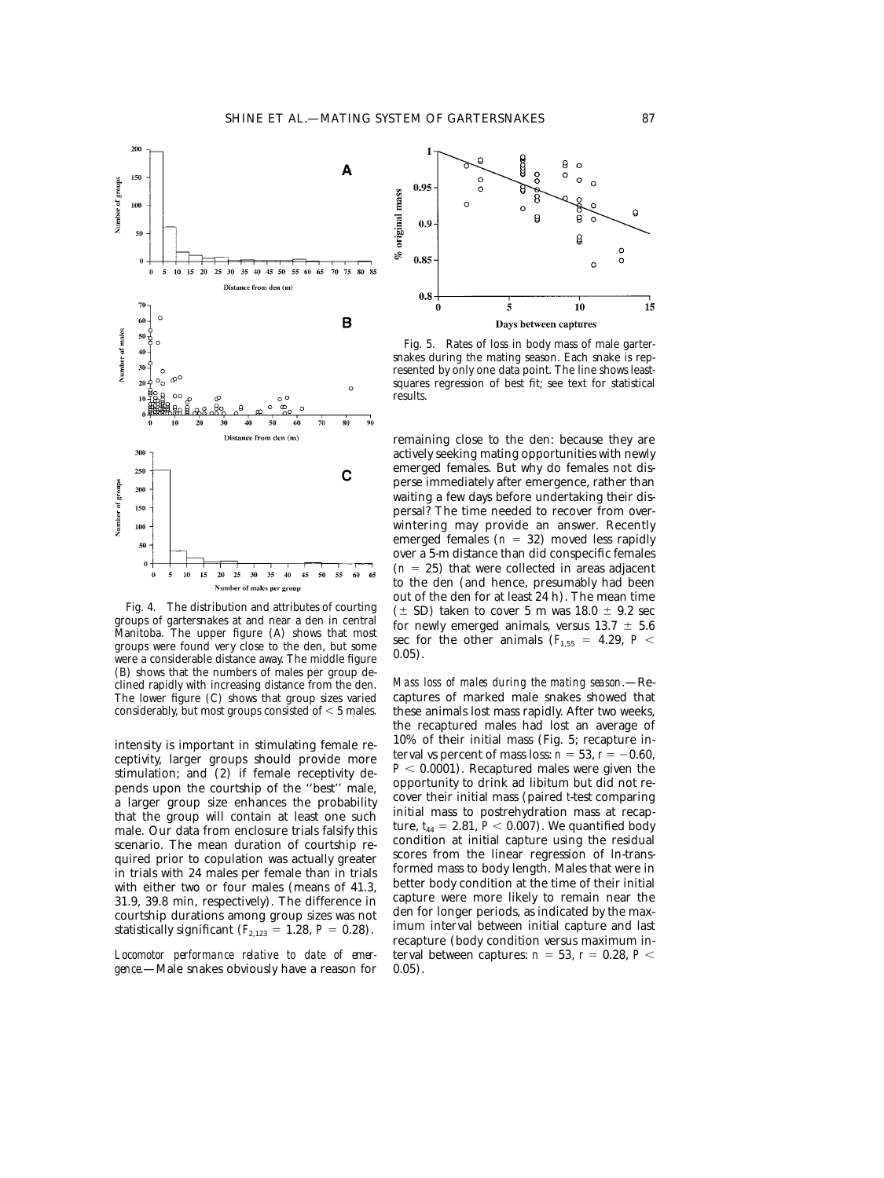

Fig. 4. The distribution and attributes of courting groups of gartersnakes at and near a den in central Manitoba. The upper figure (A) shows that most groups were found very close to the den, but some were a considerable distance away. The middle figure (B) shows that the numbers of males per group declined rapidly with increasing distance from the den. The lower figure (C) shows that group sizes varied considerably, but most groups consisted of  $<$  5 males.

intensity is important in stimulating female receptivity, larger groups should provide more stimulation; and (2) if female receptivity depends upon the courtship of the ''best'' male, a larger group size enhances the probability that the group will contain at least one such male. Our data from enclosure trials falsify this scenario. The mean duration of courtship required prior to copulation was actually greater in trials with 24 males per female than in trials with either two or four males (means of 41.3, 31.9, 39.8 min, respectively). The difference in courtship durations among group sizes was not statistically significant  $(F_{2,123} = 1.28, P = 0.28)$ .

*Locomotor performance relative to date of emergence*.—Male snakes obviously have a reason for



Fig. 5. Rates of loss in body mass of male gartersnakes during the mating season. Each snake is represented by only one data point. The line shows leastsquares regression of best fit; see text for statistical results.

remaining close to the den: because they are actively seeking mating opportunities with newly emerged females. But why do females not disperse immediately after emergence, rather than waiting a few days before undertaking their dispersal? The time needed to recover from overwintering may provide an answer. Recently emerged females  $(n = 32)$  moved less rapidly over a 5-m distance than did conspecific females  $(n = 25)$  that were collected in areas adjacent to the den (and hence, presumably had been out of the den for at least 24 h). The mean time  $(\pm$  SD) taken to cover 5 m was 18.0  $\pm$  9.2 sec for newly emerged animals, versus  $13.7 \pm 5.6$ sec for the other animals  $(F_{1,55} = 4.29, P \le$ 0.05).

*Mass loss of males during the mating season*.—Recaptures of marked male snakes showed that these animals lost mass rapidly. After two weeks, the recaptured males had lost an average of 10% of their initial mass (Fig. 5; recapture interval vs percent of mass loss:  $n = 53$ ,  $r = -0.60$ ,  $P < 0.0001$ ). Recaptured males were given the opportunity to drink ad libitum but did not recover their initial mass (paired *t*-test comparing initial mass to postrehydration mass at recapture,  $t_{44} = 2.81, P < 0.007$ . We quantified body condition at initial capture using the residual scores from the linear regression of ln-transformed mass to body length. Males that were in better body condition at the time of their initial capture were more likely to remain near the den for longer periods, as indicated by the maximum interval between initial capture and last recapture (body condition versus maximum interval between captures:  $n = 53$ ,  $r = 0.28$ ,  $P \le$ 0.05).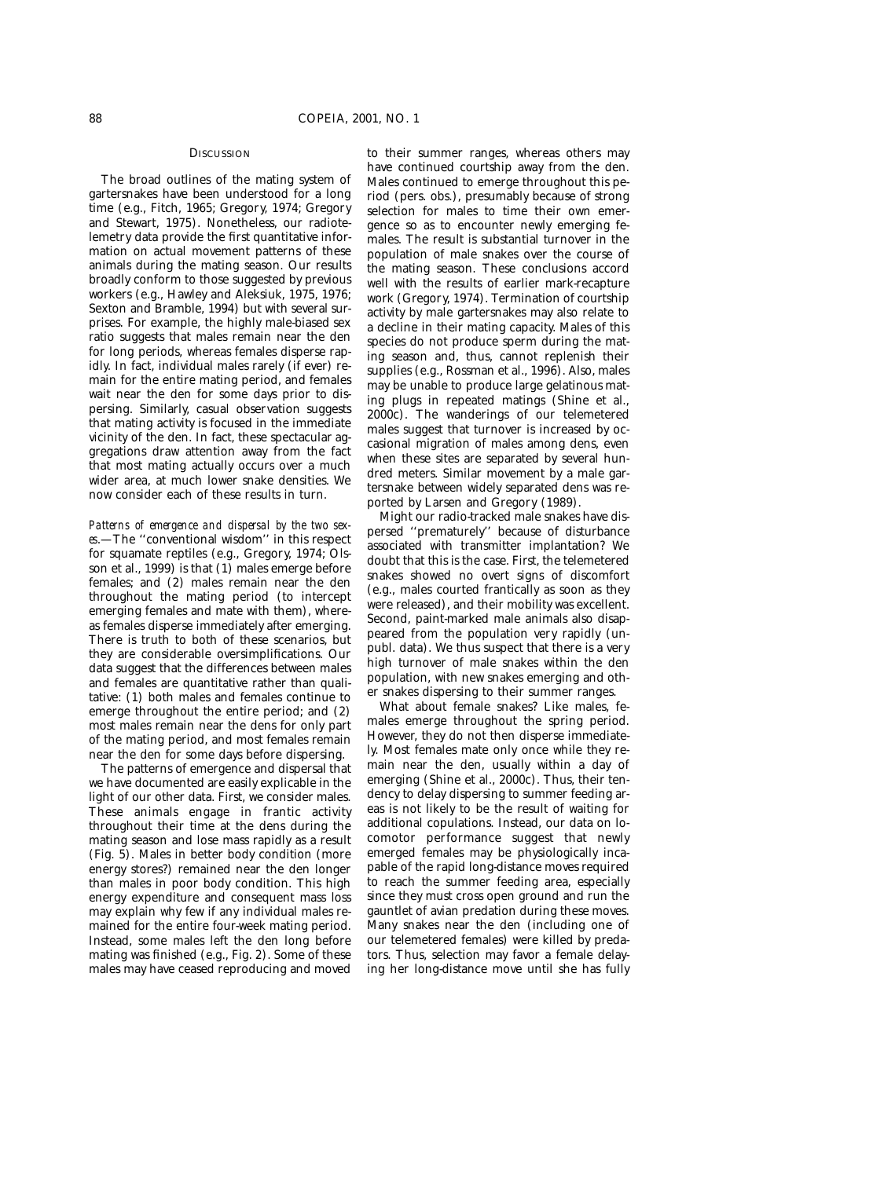### **DISCUSSION**

The broad outlines of the mating system of gartersnakes have been understood for a long time (e.g., Fitch, 1965; Gregory, 1974; Gregory and Stewart, 1975). Nonetheless, our radiotelemetry data provide the first quantitative information on actual movement patterns of these animals during the mating season. Our results broadly conform to those suggested by previous workers (e.g., Hawley and Aleksiuk, 1975, 1976; Sexton and Bramble, 1994) but with several surprises. For example, the highly male-biased sex ratio suggests that males remain near the den for long periods, whereas females disperse rapidly. In fact, individual males rarely (if ever) remain for the entire mating period, and females wait near the den for some days prior to dispersing. Similarly, casual observation suggests that mating activity is focused in the immediate vicinity of the den. In fact, these spectacular aggregations draw attention away from the fact that most mating actually occurs over a much wider area, at much lower snake densities. We now consider each of these results in turn.

*Patterns of emergence and dispersal by the two sexes*.—The ''conventional wisdom'' in this respect for squamate reptiles (e.g., Gregory, 1974; Olsson et al., 1999) is that (1) males emerge before females; and (2) males remain near the den throughout the mating period (to intercept emerging females and mate with them), whereas females disperse immediately after emerging. There is truth to both of these scenarios, but they are considerable oversimplifications. Our data suggest that the differences between males and females are quantitative rather than qualitative: (1) both males and females continue to emerge throughout the entire period; and (2) most males remain near the dens for only part of the mating period, and most females remain near the den for some days before dispersing.

The patterns of emergence and dispersal that we have documented are easily explicable in the light of our other data. First, we consider males. These animals engage in frantic activity throughout their time at the dens during the mating season and lose mass rapidly as a result (Fig. 5). Males in better body condition (more energy stores?) remained near the den longer than males in poor body condition. This high energy expenditure and consequent mass loss may explain why few if any individual males remained for the entire four-week mating period. Instead, some males left the den long before mating was finished (e.g., Fig. 2). Some of these males may have ceased reproducing and moved

to their summer ranges, whereas others may have continued courtship away from the den. Males continued to emerge throughout this period (pers. obs.), presumably because of strong selection for males to time their own emergence so as to encounter newly emerging females. The result is substantial turnover in the population of male snakes over the course of the mating season. These conclusions accord well with the results of earlier mark-recapture work (Gregory, 1974). Termination of courtship activity by male gartersnakes may also relate to a decline in their mating capacity. Males of this species do not produce sperm during the mating season and, thus, cannot replenish their supplies (e.g., Rossman et al., 1996). Also, males may be unable to produce large gelatinous mating plugs in repeated matings (Shine et al., 2000c). The wanderings of our telemetered males suggest that turnover is increased by occasional migration of males among dens, even when these sites are separated by several hundred meters. Similar movement by a male gartersnake between widely separated dens was reported by Larsen and Gregory (1989).

Might our radio-tracked male snakes have dispersed ''prematurely'' because of disturbance associated with transmitter implantation? We doubt that this is the case. First, the telemetered snakes showed no overt signs of discomfort (e.g., males courted frantically as soon as they were released), and their mobility was excellent. Second, paint-marked male animals also disappeared from the population very rapidly (unpubl. data). We thus suspect that there is a very high turnover of male snakes within the den population, with new snakes emerging and other snakes dispersing to their summer ranges.

What about female snakes? Like males, females emerge throughout the spring period. However, they do not then disperse immediately. Most females mate only once while they remain near the den, usually within a day of emerging (Shine et al., 2000c). Thus, their tendency to delay dispersing to summer feeding areas is not likely to be the result of waiting for additional copulations. Instead, our data on locomotor performance suggest that newly emerged females may be physiologically incapable of the rapid long-distance moves required to reach the summer feeding area, especially since they must cross open ground and run the gauntlet of avian predation during these moves. Many snakes near the den (including one of our telemetered females) were killed by predators. Thus, selection may favor a female delaying her long-distance move until she has fully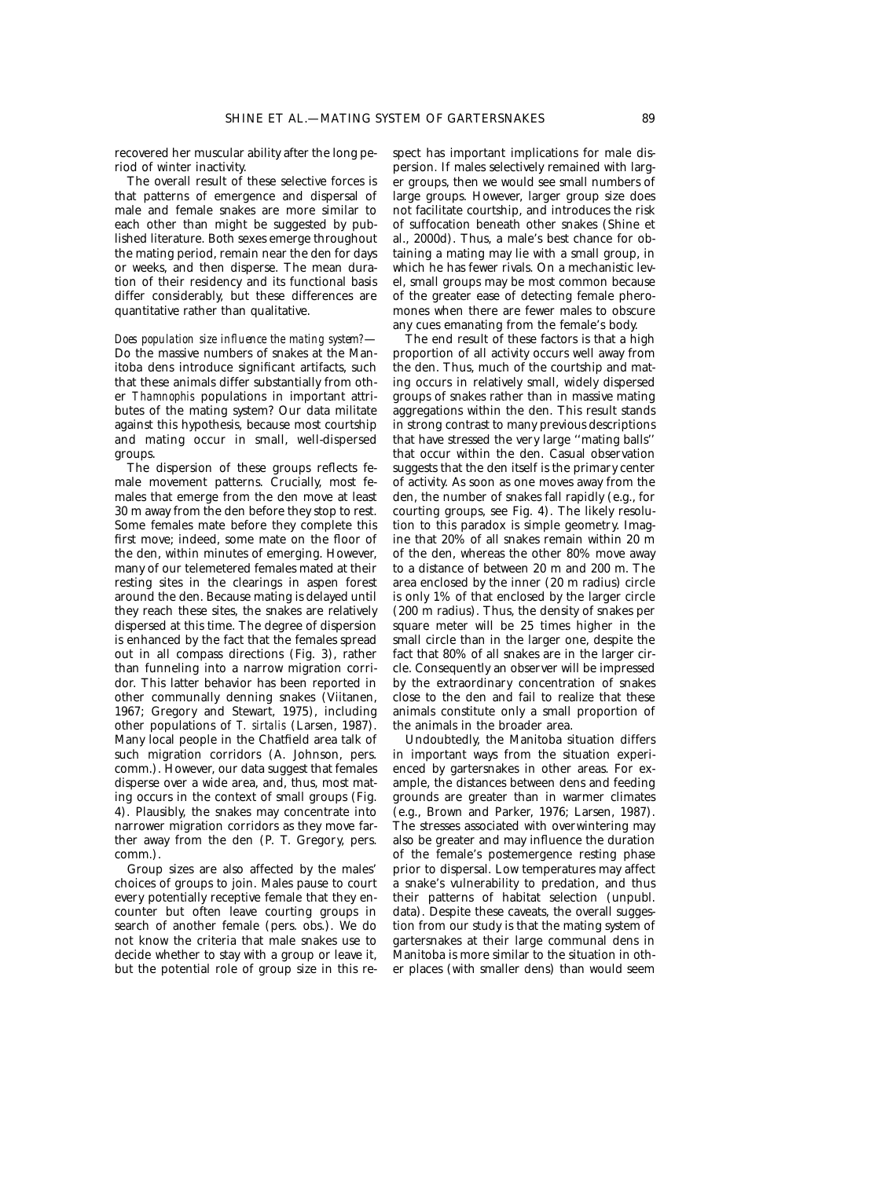recovered her muscular ability after the long period of winter inactivity.

The overall result of these selective forces is that patterns of emergence and dispersal of male and female snakes are more similar to each other than might be suggested by published literature. Both sexes emerge throughout the mating period, remain near the den for days or weeks, and then disperse. The mean duration of their residency and its functional basis differ considerably, but these differences are quantitative rather than qualitative.

*Does population size influence the mating system?*— Do the massive numbers of snakes at the Manitoba dens introduce significant artifacts, such that these animals differ substantially from other *Thamnophis* populations in important attributes of the mating system? Our data militate against this hypothesis, because most courtship and mating occur in small, well-dispersed groups.

The dispersion of these groups reflects female movement patterns. Crucially, most females that emerge from the den move at least 30 m away from the den before they stop to rest. Some females mate before they complete this first move; indeed, some mate on the floor of the den, within minutes of emerging. However, many of our telemetered females mated at their resting sites in the clearings in aspen forest around the den. Because mating is delayed until they reach these sites, the snakes are relatively dispersed at this time. The degree of dispersion is enhanced by the fact that the females spread out in all compass directions (Fig. 3), rather than funneling into a narrow migration corridor. This latter behavior has been reported in other communally denning snakes (Viitanen, 1967; Gregory and Stewart, 1975), including other populations of *T. sirtalis* (Larsen, 1987). Many local people in the Chatfield area talk of such migration corridors (A. Johnson, pers. comm.). However, our data suggest that females disperse over a wide area, and, thus, most mating occurs in the context of small groups (Fig. 4). Plausibly, the snakes may concentrate into narrower migration corridors as they move farther away from the den (P. T. Gregory, pers. comm.).

Group sizes are also affected by the males' choices of groups to join. Males pause to court every potentially receptive female that they encounter but often leave courting groups in search of another female (pers. obs.). We do not know the criteria that male snakes use to decide whether to stay with a group or leave it, but the potential role of group size in this respect has important implications for male dispersion. If males selectively remained with larger groups, then we would see small numbers of large groups. However, larger group size does not facilitate courtship, and introduces the risk of suffocation beneath other snakes (Shine et al., 2000d). Thus, a male's best chance for obtaining a mating may lie with a small group, in which he has fewer rivals. On a mechanistic level, small groups may be most common because of the greater ease of detecting female pheromones when there are fewer males to obscure any cues emanating from the female's body.

The end result of these factors is that a high proportion of all activity occurs well away from the den. Thus, much of the courtship and mating occurs in relatively small, widely dispersed groups of snakes rather than in massive mating aggregations within the den. This result stands in strong contrast to many previous descriptions that have stressed the very large ''mating balls'' that occur within the den. Casual observation suggests that the den itself is the primary center of activity. As soon as one moves away from the den, the number of snakes fall rapidly (e.g., for courting groups, see Fig. 4). The likely resolution to this paradox is simple geometry. Imagine that 20% of all snakes remain within 20 m of the den, whereas the other 80% move away to a distance of between 20 m and 200 m. The area enclosed by the inner (20 m radius) circle is only 1% of that enclosed by the larger circle (200 m radius). Thus, the density of snakes per square meter will be 25 times higher in the small circle than in the larger one, despite the fact that 80% of all snakes are in the larger circle. Consequently an observer will be impressed by the extraordinary concentration of snakes close to the den and fail to realize that these animals constitute only a small proportion of the animals in the broader area.

Undoubtedly, the Manitoba situation differs in important ways from the situation experienced by gartersnakes in other areas. For example, the distances between dens and feeding grounds are greater than in warmer climates (e.g., Brown and Parker, 1976; Larsen, 1987). The stresses associated with overwintering may also be greater and may influence the duration of the female's postemergence resting phase prior to dispersal. Low temperatures may affect a snake's vulnerability to predation, and thus their patterns of habitat selection (unpubl. data). Despite these caveats, the overall suggestion from our study is that the mating system of gartersnakes at their large communal dens in Manitoba is more similar to the situation in other places (with smaller dens) than would seem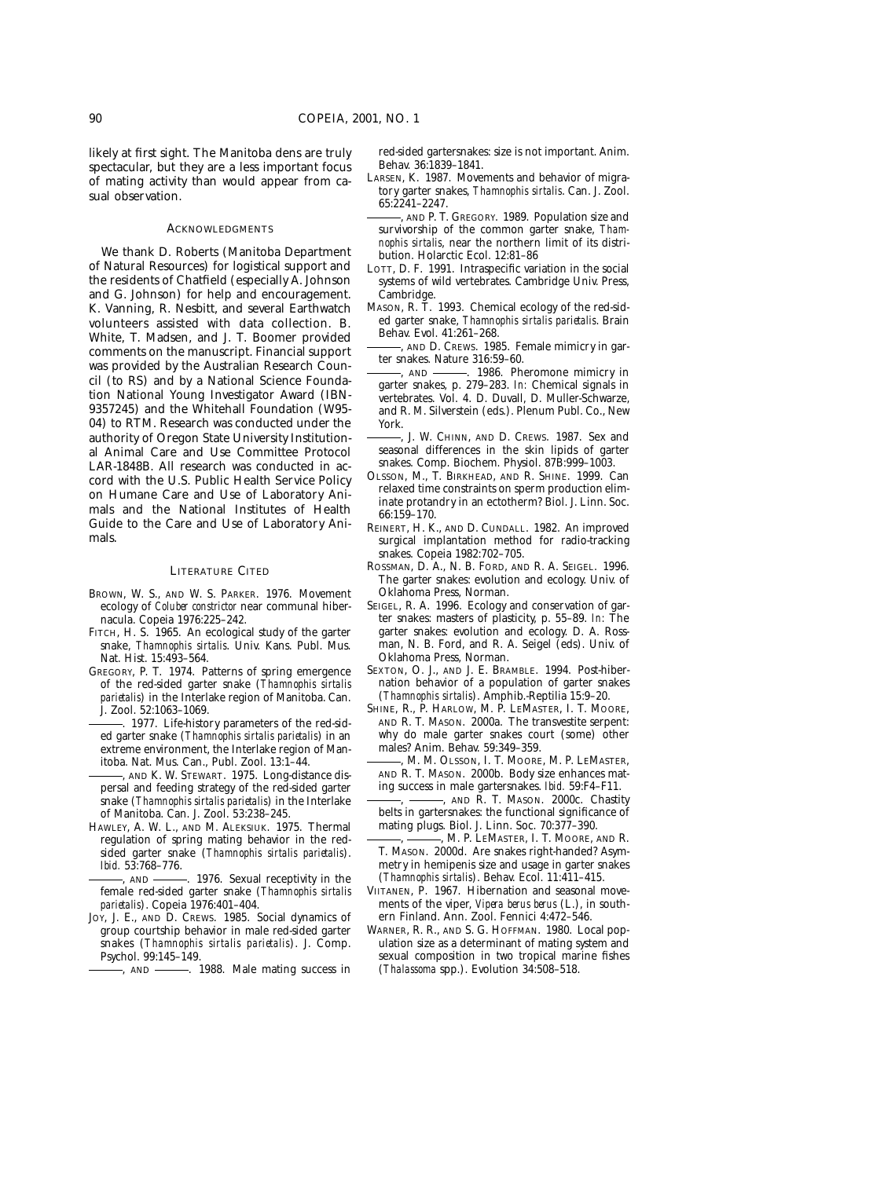likely at first sight. The Manitoba dens are truly spectacular, but they are a less important focus of mating activity than would appear from casual observation.

## ACKNOWLEDGMENTS

We thank D. Roberts (Manitoba Department of Natural Resources) for logistical support and the residents of Chatfield (especially A. Johnson and G. Johnson) for help and encouragement. K. Vanning, R. Nesbitt, and several Earthwatch volunteers assisted with data collection. B. White, T. Madsen, and J. T. Boomer provided comments on the manuscript. Financial support was provided by the Australian Research Council (to RS) and by a National Science Foundation National Young Investigator Award (IBN-9357245) and the Whitehall Foundation (W95- 04) to RTM. Research was conducted under the authority of Oregon State University Institutional Animal Care and Use Committee Protocol LAR-1848B. All research was conducted in accord with the U.S. Public Health Service Policy on Humane Care and Use of Laboratory Animals and the National Institutes of Health Guide to the Care and Use of Laboratory Animals.

#### LITERATURE CITED

- BROWN, W. S., AND W. S. PARKER. 1976. Movement ecology of *Coluber constrictor* near communal hibernacula. Copeia 1976:225–242.
- FITCH, H. S. 1965. An ecological study of the garter snake, *Thamnophis sirtalis*. Univ. Kans. Publ. Mus. Nat. Hist. 15:493–564.
- GREGORY, P. T. 1974. Patterns of spring emergence of the red-sided garter snake (*Thamnophis sirtalis parietalis*) in the Interlake region of Manitoba. Can. J. Zool. 52:1063–1069.
	- . 1977. Life-history parameters of the red-sided garter snake (*Thamnophis sirtalis parietalis*) in an extreme environment, the Interlake region of Manitoba. Nat. Mus. Can., Publ. Zool. 13:1–44.
- , AND K. W. STEWART. 1975. Long-distance dispersal and feeding strategy of the red-sided garter snake (*Thamnophis sirtalis parietalis*) in the Interlake of Manitoba. Can. J. Zool. 53:238–245.
- HAWLEY, A. W. L., AND M. ALEKSIUK. 1975. Thermal regulation of spring mating behavior in the redsided garter snake (*Thamnophis sirtalis parietalis*). *Ibid.* 53:768–776.

, AND . 1976. Sexual receptivity in the female red-sided garter snake (*Thamnophis sirtalis parietalis*). Copeia 1976:401–404.

JOY, J. E., AND D. CREWS. 1985. Social dynamics of group courtship behavior in male red-sided garter snakes (*Thamnophis sirtalis parietalis*). J. Comp.

Psychol. 99:145–149.<br>
— , AND — . 1 -. 1988. Male mating success in red-sided gartersnakes: size is not important. Anim. Behav. 36:1839–1841.

- LARSEN, K. 1987. Movements and behavior of migratory garter snakes, *Thamnophis sirtalis*. Can. J. Zool. 65:2241–2247.
- , AND P. T. GREGORY. 1989. Population size and survivorship of the common garter snake, *Thamnophis sirtalis*, near the northern limit of its distribution. Holarctic Ecol. 12:81–86
- LOTT, D. F. 1991. Intraspecific variation in the social systems of wild vertebrates. Cambridge Univ. Press, Cambridge.
- MASON, R. T. 1993. Chemical ecology of the red-sided garter snake, *Thamnophis sirtalis parietalis*. Brain Behav. Evol. 41:261–268.
	- , AND D. CREWS. 1985. Female mimicry in garter snakes. Nature 316:59–60.
- $-$ , AND  $-$ . 1986. Pheromone mimicry in garter snakes, p. 279–283. *In:* Chemical signals in vertebrates. Vol. 4. D. Duvall, D. Muller-Schwarze, and R. M. Silverstein (eds.). Plenum Publ. Co., New York.
- , J. W. CHINN, AND D. CREWS. 1987. Sex and seasonal differences in the skin lipids of garter snakes. Comp. Biochem. Physiol. 87B:999–1003.
- OLSSON, M., T. BIRKHEAD, AND R. SHINE. 1999. Can relaxed time constraints on sperm production eliminate protandry in an ectotherm? Biol. J. Linn. Soc. 66:159–170.
- REINERT, H. K., AND D. CUNDALL. 1982. An improved surgical implantation method for radio-tracking snakes. Copeia 1982:702–705.
- ROSSMAN, D. A., N. B. FORD, AND R. A. SEIGEL. 1996. The garter snakes: evolution and ecology. Univ. of Oklahoma Press, Norman.
- SEIGEL, R. A. 1996. Ecology and conservation of garter snakes: masters of plasticity, p. 55–89. *In:* The garter snakes: evolution and ecology. D. A. Rossman, N. B. Ford, and R. A. Seigel (eds). Univ. of Oklahoma Press, Norman.
- SEXTON, O. J., AND J. E. BRAMBLE. 1994. Post-hibernation behavior of a population of garter snakes (*Thamnophis sirtalis*). Amphib.-Reptilia 15:9–20.
- SHINE, R., P. HARLOW, M. P. LEMASTER, I. T. MOORE, AND R. T. MASON. 2000a. The transvestite serpent: why do male garter snakes court (some) other males? Anim. Behav. 59:349–359.
- , M. M. OLSSON, I. T. MOORE, M. P. LEMASTER, AND R. T. MASON. 2000b. Body size enhances mating success in male gartersnakes. *Ibid.* 59:F4–F11.
- $-$ , and  $\overline{R}$ . T. Mason. 2000c. Chastity belts in gartersnakes: the functional significance of mating plugs. Biol. J. Linn. Soc. 70:377–390.
- , , M. P. LEMASTER, I. T. MOORE, AND R. T. MASON. 2000d. Are snakes right-handed? Asymmetry in hemipenis size and usage in garter snakes (*Thamnophis sirtalis*). Behav. Ecol. 11:411–415.
- VIITANEN, P. 1967. Hibernation and seasonal movements of the viper, *Vipera berus berus* (L.), in southern Finland. Ann. Zool. Fennici 4:472–546.
- WARNER, R. R., AND S. G. HOFFMAN. 1980. Local population size as a determinant of mating system and sexual composition in two tropical marine fishes (*Thalassoma* spp.). Evolution 34:508–518.